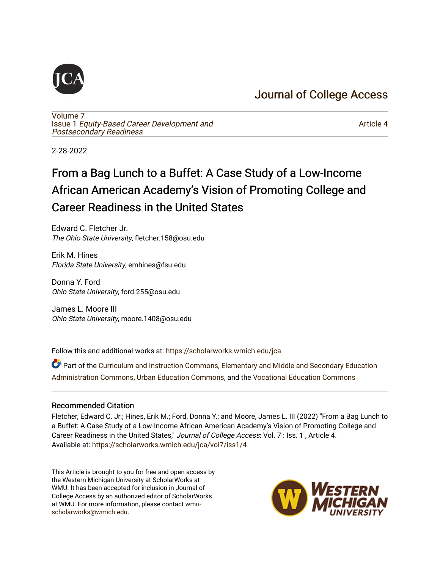## [Journal of College Access](https://scholarworks.wmich.edu/jca)

[Volume 7](https://scholarworks.wmich.edu/jca/vol7) Issue 1 [Equity-Based Career Development and](https://scholarworks.wmich.edu/jca/vol7/iss1) [Postsecondary Readiness](https://scholarworks.wmich.edu/jca/vol7/iss1) 

[Article 4](https://scholarworks.wmich.edu/jca/vol7/iss1/4) 

2-28-2022

## From a Bag Lunch to a Buffet: A Case Study of a Low-Income African American Academy's Vision of Promoting College and Career Readiness in the United States

Edward C. Fletcher Jr. The Ohio State University, fletcher.158@osu.edu

Erik M. Hines Florida State University, emhines@fsu.edu

Donna Y. Ford Ohio State University, ford.255@osu.edu

James L. Moore III Ohio State University, moore.1408@osu.edu

Follow this and additional works at: [https://scholarworks.wmich.edu/jca](https://scholarworks.wmich.edu/jca?utm_source=scholarworks.wmich.edu%2Fjca%2Fvol7%2Fiss1%2F4&utm_medium=PDF&utm_campaign=PDFCoverPages)

Part of the [Curriculum and Instruction Commons,](http://network.bepress.com/hgg/discipline/786?utm_source=scholarworks.wmich.edu%2Fjca%2Fvol7%2Fiss1%2F4&utm_medium=PDF&utm_campaign=PDFCoverPages) [Elementary and Middle and Secondary Education](http://network.bepress.com/hgg/discipline/790?utm_source=scholarworks.wmich.edu%2Fjca%2Fvol7%2Fiss1%2F4&utm_medium=PDF&utm_campaign=PDFCoverPages) [Administration Commons,](http://network.bepress.com/hgg/discipline/790?utm_source=scholarworks.wmich.edu%2Fjca%2Fvol7%2Fiss1%2F4&utm_medium=PDF&utm_campaign=PDFCoverPages) [Urban Education Commons](http://network.bepress.com/hgg/discipline/793?utm_source=scholarworks.wmich.edu%2Fjca%2Fvol7%2Fiss1%2F4&utm_medium=PDF&utm_campaign=PDFCoverPages), and the [Vocational Education Commons](http://network.bepress.com/hgg/discipline/1369?utm_source=scholarworks.wmich.edu%2Fjca%2Fvol7%2Fiss1%2F4&utm_medium=PDF&utm_campaign=PDFCoverPages) 

#### Recommended Citation

Fletcher, Edward C. Jr.; Hines, Erik M.; Ford, Donna Y.; and Moore, James L. III (2022) "From a Bag Lunch to a Buffet: A Case Study of a Low-Income African American Academy's Vision of Promoting College and Career Readiness in the United States," Journal of College Access: Vol. 7 : Iss. 1 , Article 4. Available at: [https://scholarworks.wmich.edu/jca/vol7/iss1/4](https://scholarworks.wmich.edu/jca/vol7/iss1/4?utm_source=scholarworks.wmich.edu%2Fjca%2Fvol7%2Fiss1%2F4&utm_medium=PDF&utm_campaign=PDFCoverPages) 

This Article is brought to you for free and open access by the Western Michigan University at ScholarWorks at WMU. It has been accepted for inclusion in Journal of College Access by an authorized editor of ScholarWorks at WMU. For more information, please contact [wmu](mailto:wmu-scholarworks@wmich.edu)[scholarworks@wmich.edu.](mailto:wmu-scholarworks@wmich.edu)

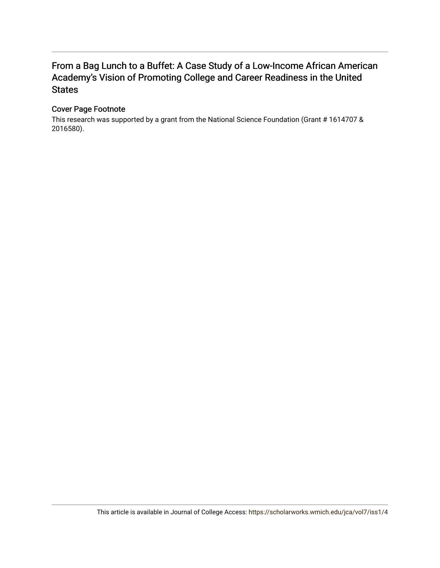## From a Bag Lunch to a Buffet: A Case Study of a Low-Income African American Academy's Vision of Promoting College and Career Readiness in the United **States**

#### Cover Page Footnote

This research was supported by a grant from the National Science Foundation (Grant # 1614707 & 2016580).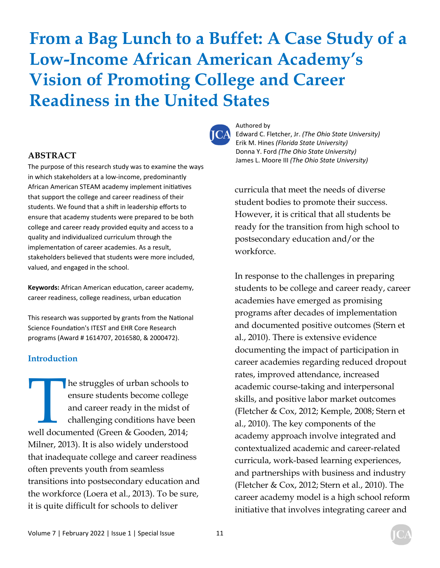# **From a Bag Lunch to a Buffet: A Case Study of a Low-Income African American Academy's Vision of Promoting College and Career Readiness in the United States**



#### **ABSTRACT**

The purpose of this research study was to examine the ways in which stakeholders at a low-income, predominantly African American STEAM academy implement initiatives that support the college and career readiness of their students. We found that a shift in leadership efforts to ensure that academy students were prepared to be both college and career ready provided equity and access to a quality and individualized curriculum through the implementation of career academies. As a result, stakeholders believed that students were more included, valued, and engaged in the school.

Keywords: African American education, career academy, career readiness, college readiness, urban education

This research was supported by grants from the National Science Foundation's ITEST and EHR Core Research programs (Award # 1614707, 2016580, & 2000472).

#### **Introduction**

The struggles of urban schools to<br>
ensure students become college<br>
and career ready in the midst of<br>
challenging conditions have bee<br>
well documented (Green & Gooden, 2014; ensure students become college and career ready in the midst of challenging conditions have been Milner, 2013). It is also widely understood that inadequate college and career readiness often prevents youth from seamless transitions into postsecondary education and the workforce (Loera et al., 2013). To be sure, it is quite difficult for schools to deliver

Authored by Edward C. Fletcher, Jr. *(The Ohio State University)*  Erik M. Hines *(Florida State University)*  Donna Y. Ford *(The Ohio State University)*  James L. Moore III *(The Ohio State University)*

curricula that meet the needs of diverse student bodies to promote their success. However, it is critical that all students be ready for the transition from high school to postsecondary education and/or the workforce.

In response to the challenges in preparing students to be college and career ready, career academies have emerged as promising programs after decades of implementation and documented positive outcomes (Stern et al., 2010). There is extensive evidence documenting the impact of participation in career academies regarding reduced dropout rates, improved attendance, increased academic course-taking and interpersonal skills, and positive labor market outcomes (Fletcher & Cox, 2012; Kemple, 2008; Stern et al., 2010). The key components of the academy approach involve integrated and contextualized academic and career-related curricula, work-based learning experiences, and partnerships with business and industry (Fletcher & Cox, 2012; Stern et al., 2010). The career academy model is a high school reform initiative that involves integrating career and

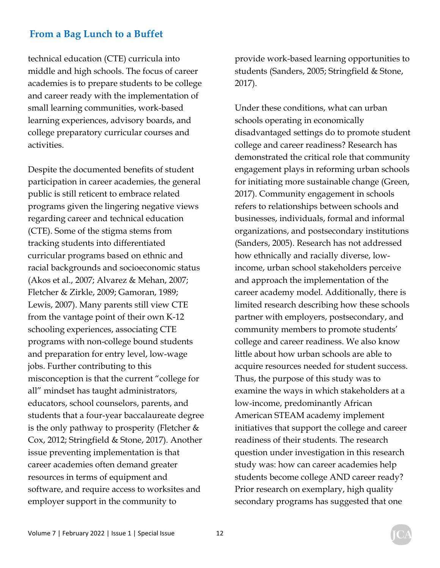technical education (CTE) curricula into middle and high schools. The focus of career academies is to prepare students to be college and career ready with the implementation of small learning communities, work-based learning experiences, advisory boards, and college preparatory curricular courses and activities.

Despite the documented benefits of student participation in career academies, the general public is still reticent to embrace related programs given the lingering negative views regarding career and technical education (CTE). Some of the stigma stems from tracking students into differentiated curricular programs based on ethnic and racial backgrounds and socioeconomic status (Akos et al., 2007; Alvarez & Mehan, 2007; Fletcher & Zirkle, 2009; Gamoran, 1989; Lewis, 2007). Many parents still view CTE from the vantage point of their own K-12 schooling experiences, associating CTE programs with non-college bound students and preparation for entry level, low-wage jobs. Further contributing to this misconception is that the current "college for all" mindset has taught administrators, educators, school counselors, parents, and students that a four-year baccalaureate degree is the only pathway to prosperity (Fletcher  $&$ Cox, 2012; Stringfield & Stone, 2017). Another issue preventing implementation is that career academies often demand greater resources in terms of equipment and software, and require access to worksites and employer support in the community to

provide work-based learning opportunities to students (Sanders, 2005; Stringfield & Stone, 2017).

Under these conditions, what can urban schools operating in economically disadvantaged settings do to promote student college and career readiness? Research has demonstrated the critical role that community engagement plays in reforming urban schools for initiating more sustainable change (Green, 2017). Community engagement in schools refers to relationships between schools and businesses, individuals, formal and informal organizations, and postsecondary institutions (Sanders, 2005). Research has not addressed how ethnically and racially diverse, lowincome, urban school stakeholders perceive and approach the implementation of the career academy model. Additionally, there is limited research describing how these schools partner with employers, postsecondary, and community members to promote students' college and career readiness. We also know little about how urban schools are able to acquire resources needed for student success. Thus, the purpose of this study was to examine the ways in which stakeholders at a low-income, predominantly African American STEAM academy implement initiatives that support the college and career readiness of their students. The research question under investigation in this research study was: how can career academies help students become college AND career ready? Prior research on exemplary, high quality secondary programs has suggested that one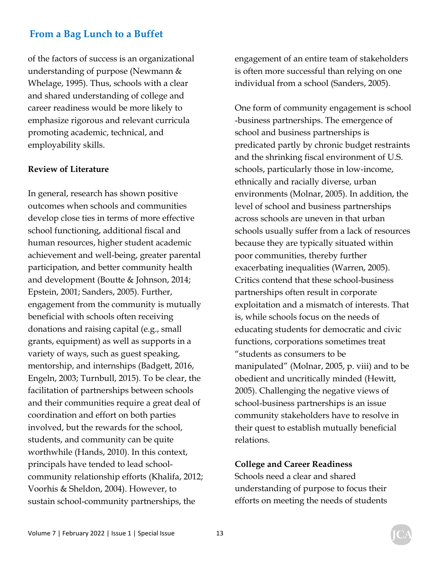of the factors of success is an organizational understanding of purpose (Newmann & Whelage, 1995). Thus, schools with a clear and shared understanding of college and career readiness would be more likely to emphasize rigorous and relevant curricula promoting academic, technical, and employability skills.

#### **Review of Literature**

In general, research has shown positive outcomes when schools and communities develop close ties in terms of more effective school functioning, additional fiscal and human resources, higher student academic achievement and well-being, greater parental participation, and better community health and development (Boutte & Johnson, 2014; Epstein, 2001; Sanders, 2005). Further, engagement from the community is mutually beneficial with schools often receiving donations and raising capital (e.g., small grants, equipment) as well as supports in a variety of ways, such as guest speaking, mentorship, and internships (Badgett, 2016, Engeln, 2003; Turnbull, 2015). To be clear, the facilitation of partnerships between schools and their communities require a great deal of coordination and effort on both parties involved, but the rewards for the school, students, and community can be quite worthwhile (Hands, 2010). In this context, principals have tended to lead schoolcommunity relationship efforts (Khalifa, 2012; Voorhis & Sheldon, 2004). However, to sustain school-community partnerships, the

engagement of an entire team of stakeholders is often more successful than relying on one individual from a school (Sanders, 2005).

One form of community engagement is school -business partnerships. The emergence of school and business partnerships is predicated partly by chronic budget restraints and the shrinking fiscal environment of U.S. schools, particularly those in low-income, ethnically and racially diverse, urban environments (Molnar, 2005). In addition, the level of school and business partnerships across schools are uneven in that urban schools usually suffer from a lack of resources because they are typically situated within poor communities, thereby further exacerbating inequalities (Warren, 2005). Critics contend that these school-business partnerships often result in corporate exploitation and a mismatch of interests. That is, while schools focus on the needs of educating students for democratic and civic functions, corporations sometimes treat "students as consumers to be manipulated" (Molnar, 2005, p. viii) and to be obedient and uncritically minded (Hewitt, 2005). Challenging the negative views of school-business partnerships is an issue community stakeholders have to resolve in their quest to establish mutually beneficial relations.

#### **College and Career Readiness**

Schools need a clear and shared understanding of purpose to focus their efforts on meeting the needs of students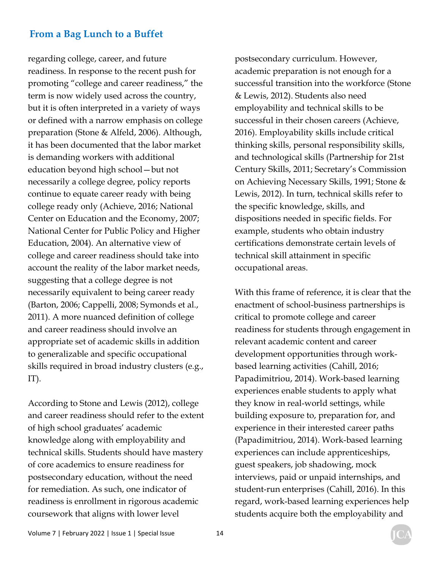regarding college, career, and future readiness. In response to the recent push for promoting "college and career readiness," the term is now widely used across the country, but it is often interpreted in a variety of ways or defined with a narrow emphasis on college preparation (Stone & Alfeld, 2006). Although, it has been documented that the labor market is demanding workers with additional education beyond high school—but not necessarily a college degree, policy reports continue to equate career ready with being college ready only (Achieve, 2016; National Center on Education and the Economy, 2007; National Center for Public Policy and Higher Education, 2004). An alternative view of college and career readiness should take into account the reality of the labor market needs, suggesting that a college degree is not necessarily equivalent to being career ready (Barton, 2006; Cappelli, 2008; Symonds et al., 2011). A more nuanced definition of college and career readiness should involve an appropriate set of academic skills in addition to generalizable and specific occupational skills required in broad industry clusters (e.g., IT).

According to Stone and Lewis (2012), college and career readiness should refer to the extent of high school graduates' academic knowledge along with employability and technical skills. Students should have mastery of core academics to ensure readiness for postsecondary education, without the need for remediation. As such, one indicator of readiness is enrollment in rigorous academic coursework that aligns with lower level

postsecondary curriculum. However, academic preparation is not enough for a successful transition into the workforce (Stone & Lewis, 2012). Students also need employability and technical skills to be successful in their chosen careers (Achieve, 2016). Employability skills include critical thinking skills, personal responsibility skills, and technological skills (Partnership for 21st Century Skills, 2011; Secretary's Commission on Achieving Necessary Skills, 1991; Stone & Lewis, 2012). In turn, technical skills refer to the specific knowledge, skills, and dispositions needed in specific fields. For example, students who obtain industry certifications demonstrate certain levels of technical skill attainment in specific occupational areas.

With this frame of reference, it is clear that the enactment of school-business partnerships is critical to promote college and career readiness for students through engagement in relevant academic content and career development opportunities through workbased learning activities (Cahill, 2016; Papadimitriou, 2014). Work-based learning experiences enable students to apply what they know in real-world settings, while building exposure to, preparation for, and experience in their interested career paths (Papadimitriou, 2014). Work-based learning experiences can include apprenticeships, guest speakers, job shadowing, mock interviews, paid or unpaid internships, and student-run enterprises (Cahill, 2016). In this regard, work-based learning experiences help students acquire both the employability and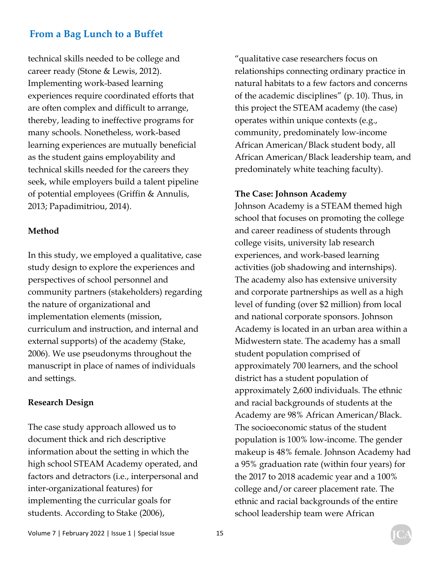technical skills needed to be college and career ready (Stone & Lewis, 2012). Implementing work-based learning experiences require coordinated efforts that are often complex and difficult to arrange, thereby, leading to ineffective programs for many schools. Nonetheless, work-based learning experiences are mutually beneficial as the student gains employability and technical skills needed for the careers they seek, while employers build a talent pipeline of potential employees (Griffin & Annulis, 2013; Papadimitriou, 2014).

#### **Method**

In this study, we employed a qualitative, case study design to explore the experiences and perspectives of school personnel and community partners (stakeholders) regarding the nature of organizational and implementation elements (mission, curriculum and instruction, and internal and external supports) of the academy (Stake, 2006). We use pseudonyms throughout the manuscript in place of names of individuals and settings.

#### **Research Design**

The case study approach allowed us to document thick and rich descriptive information about the setting in which the high school STEAM Academy operated, and factors and detractors (i.e., interpersonal and inter-organizational features) for implementing the curricular goals for students. According to Stake (2006),

"qualitative case researchers focus on relationships connecting ordinary practice in natural habitats to a few factors and concerns of the academic disciplines" (p. 10). Thus, in this project the STEAM academy (the case) operates within unique contexts (e.g., community, predominately low-income African American/Black student body, all African American/Black leadership team, and predominately white teaching faculty).

#### **The Case: Johnson Academy**

Johnson Academy is a STEAM themed high school that focuses on promoting the college and career readiness of students through college visits, university lab research experiences, and work-based learning activities (job shadowing and internships). The academy also has extensive university and corporate partnerships as well as a high level of funding (over \$2 million) from local and national corporate sponsors. Johnson Academy is located in an urban area within a Midwestern state. The academy has a small student population comprised of approximately 700 learners, and the school district has a student population of approximately 2,600 individuals. The ethnic and racial backgrounds of students at the Academy are 98% African American/Black. The socioeconomic status of the student population is 100% low-income. The gender makeup is 48% female. Johnson Academy had a 95% graduation rate (within four years) for the 2017 to 2018 academic year and a 100% college and/or career placement rate. The ethnic and racial backgrounds of the entire school leadership team were African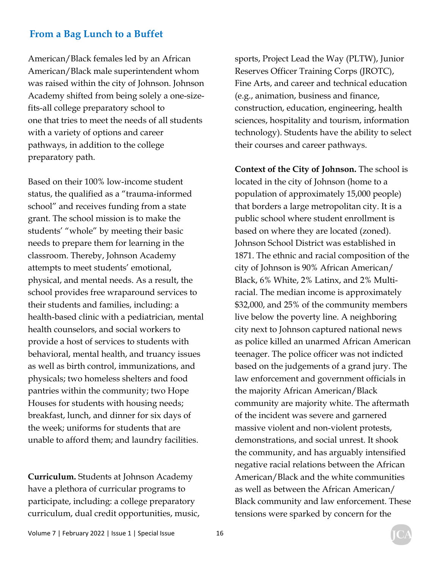American/Black females led by an African American/Black male superintendent whom was raised within the city of Johnson. Johnson Academy shifted from being solely a one-sizefits-all college preparatory school to one that tries to meet the needs of all students with a variety of options and career pathways, in addition to the college preparatory path.

Based on their 100% low-income student status, the qualified as a "trauma-informed school" and receives funding from a state grant. The school mission is to make the students' "whole" by meeting their basic needs to prepare them for learning in the classroom. Thereby, Johnson Academy attempts to meet students' emotional, physical, and mental needs. As a result, the school provides free wraparound services to their students and families, including: a health-based clinic with a pediatrician, mental health counselors, and social workers to provide a host of services to students with behavioral, mental health, and truancy issues as well as birth control, immunizations, and physicals; two homeless shelters and food pantries within the community; two Hope Houses for students with housing needs; breakfast, lunch, and dinner for six days of the week; uniforms for students that are unable to afford them; and laundry facilities.

**Curriculum.** Students at Johnson Academy have a plethora of curricular programs to participate, including: a college preparatory curriculum, dual credit opportunities, music, sports, Project Lead the Way (PLTW), Junior Reserves Officer Training Corps (JROTC), Fine Arts, and career and technical education (e.g., animation, business and finance, construction, education, engineering, health sciences, hospitality and tourism, information technology). Students have the ability to select their courses and career pathways.

**Context of the City of Johnson.** The school is located in the city of Johnson (home to a population of approximately 15,000 people) that borders a large metropolitan city. It is a public school where student enrollment is based on where they are located (zoned). Johnson School District was established in 1871. The ethnic and racial composition of the city of Johnson is 90% African American/ Black, 6% White, 2% Latinx, and 2% Multiracial. The median income is approximately \$32,000, and 25% of the community members live below the poverty line. A neighboring city next to Johnson captured national news as police killed an unarmed African American teenager. The police officer was not indicted based on the judgements of a grand jury. The law enforcement and government officials in the majority African American/Black community are majority white. The aftermath of the incident was severe and garnered massive violent and non-violent protests, demonstrations, and social unrest. It shook the community, and has arguably intensified negative racial relations between the African American/Black and the white communities as well as between the African American/ Black community and law enforcement. These tensions were sparked by concern for the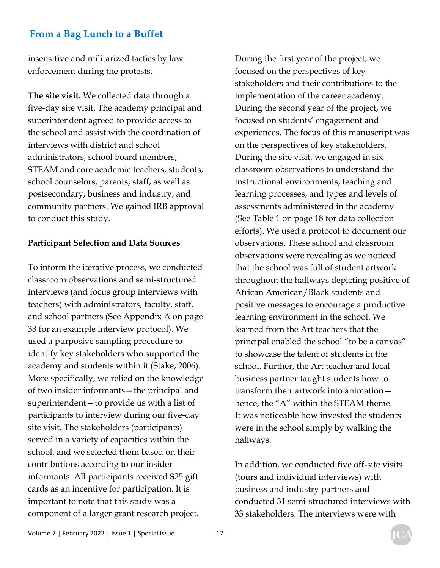insensitive and militarized tactics by law enforcement during the protests.

**The site visit.** We collected data through a five-day site visit. The academy principal and superintendent agreed to provide access to the school and assist with the coordination of interviews with district and school administrators, school board members, STEAM and core academic teachers, students, school counselors, parents, staff, as well as postsecondary, business and industry, and community partners. We gained IRB approval to conduct this study.

#### **Participant Selection and Data Sources**

To inform the iterative process, we conducted classroom observations and semi-structured interviews (and focus group interviews with teachers) with administrators, faculty, staff, and school partners (See Appendix A on page 33 for an example interview protocol). We used a purposive sampling procedure to identify key stakeholders who supported the academy and students within it (Stake, 2006). More specifically, we relied on the knowledge of two insider informants—the principal and superintendent—to provide us with a list of participants to interview during our five-day site visit. The stakeholders (participants) served in a variety of capacities within the school, and we selected them based on their contributions according to our insider informants. All participants received \$25 gift cards as an incentive for participation. It is important to note that this study was a component of a larger grant research project.

During the first year of the project, we focused on the perspectives of key stakeholders and their contributions to the implementation of the career academy. During the second year of the project, we focused on students' engagement and experiences. The focus of this manuscript was on the perspectives of key stakeholders. During the site visit, we engaged in six classroom observations to understand the instructional environments, teaching and learning processes, and types and levels of assessments administered in the academy (See Table 1 on page 18 for data collection efforts). We used a protocol to document our observations. These school and classroom observations were revealing as we noticed that the school was full of student artwork throughout the hallways depicting positive of African American/Black students and positive messages to encourage a productive learning environment in the school. We learned from the Art teachers that the principal enabled the school "to be a canvas" to showcase the talent of students in the school. Further, the Art teacher and local business partner taught students how to transform their artwork into animation hence, the "A" within the STEAM theme. It was noticeable how invested the students were in the school simply by walking the hallways.

In addition, we conducted five off-site visits (tours and individual interviews) with business and industry partners and conducted 31 semi-structured interviews with 33 stakeholders. The interviews were with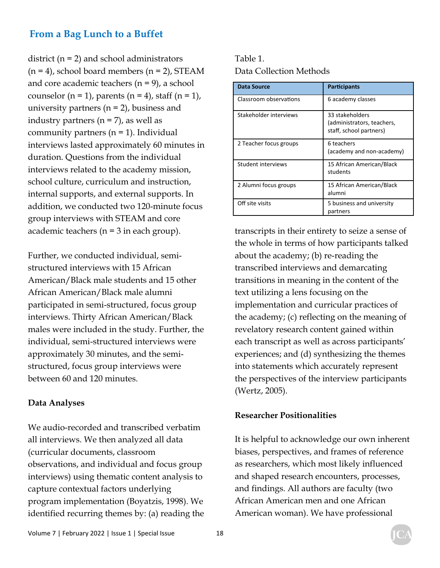district (n = 2) and school administrators  $(n = 4)$ , school board members  $(n = 2)$ , STEAM and core academic teachers (n = 9), a school counselor  $(n = 1)$ , parents  $(n = 4)$ , staff  $(n = 1)$ , university partners  $(n = 2)$ , business and industry partners  $(n = 7)$ , as well as community partners  $(n = 1)$ . Individual interviews lasted approximately 60 minutes in duration. Questions from the individual interviews related to the academy mission, school culture, curriculum and instruction, internal supports, and external supports. In addition, we conducted two 120-minute focus group interviews with STEAM and core academic teachers (n = 3 in each group).

Further, we conducted individual, semistructured interviews with 15 African American/Black male students and 15 other African American/Black male alumni participated in semi-structured, focus group interviews. Thirty African American/Black males were included in the study. Further, the individual, semi-structured interviews were approximately 30 minutes, and the semistructured, focus group interviews were between 60 and 120 minutes.

#### **Data Analyses**

We audio-recorded and transcribed verbatim all interviews. We then analyzed all data (curricular documents, classroom observations, and individual and focus group interviews) using thematic content analysis to capture contextual factors underlying program implementation (Boyatzis, 1998). We identified recurring themes by: (a) reading the Table 1. Data Collection Methods

| Data Source            | <b>Participants</b>                                                      |
|------------------------|--------------------------------------------------------------------------|
| Classroom observations | 6 academy classes                                                        |
| Stakeholder interviews | 33 stakeholders<br>(administrators, teachers,<br>staff, school partners) |
| 2 Teacher focus groups | 6 teachers<br>(academy and non-academy)                                  |
| Student interviews     | 15 African American/Black<br>students                                    |
| 2 Alumni focus groups  | 15 African American/Black<br>alumni                                      |
| Off site visits        | 5 business and university<br>partners                                    |

transcripts in their entirety to seize a sense of the whole in terms of how participants talked about the academy; (b) re-reading the transcribed interviews and demarcating transitions in meaning in the content of the text utilizing a lens focusing on the implementation and curricular practices of the academy; (c) reflecting on the meaning of revelatory research content gained within each transcript as well as across participants' experiences; and (d) synthesizing the themes into statements which accurately represent the perspectives of the interview participants (Wertz, 2005).

#### **Researcher Positionalities**

It is helpful to acknowledge our own inherent biases, perspectives, and frames of reference as researchers, which most likely influenced and shaped research encounters, processes, and findings. All authors are faculty (two African American men and one African American woman). We have professional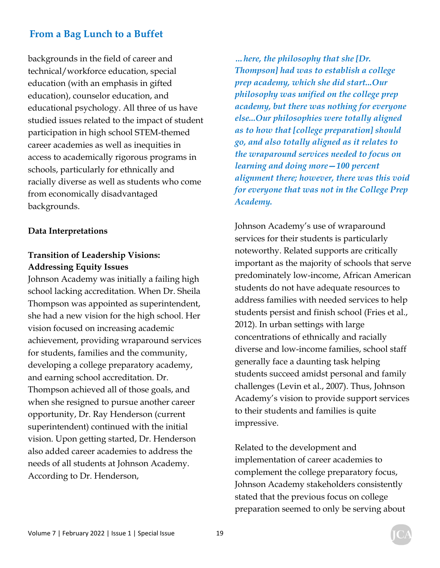backgrounds in the field of career and technical/workforce education, special education (with an emphasis in gifted education), counselor education, and educational psychology. All three of us have studied issues related to the impact of student participation in high school STEM-themed career academies as well as inequities in access to academically rigorous programs in schools, particularly for ethnically and racially diverse as well as students who come from economically disadvantaged backgrounds.

#### **Data Interpretations**

## **Transition of Leadership Visions: Addressing Equity Issues**

Johnson Academy was initially a failing high school lacking accreditation. When Dr. Sheila Thompson was appointed as superintendent, she had a new vision for the high school. Her vision focused on increasing academic achievement, providing wraparound services for students, families and the community, developing a college preparatory academy, and earning school accreditation. Dr. Thompson achieved all of those goals, and when she resigned to pursue another career opportunity, Dr. Ray Henderson (current superintendent) continued with the initial vision. Upon getting started, Dr. Henderson also added career academies to address the needs of all students at Johnson Academy. According to Dr. Henderson,

*…here, the philosophy that she [Dr. Thompson] had was to establish a college prep academy, which she did start...Our philosophy was unified on the college prep academy, but there was nothing for everyone else...Our philosophies were totally aligned as to how that [college preparation] should go, and also totally aligned as it relates to the wraparound services needed to focus on learning and doing more—100 percent alignment there; however, there was this void for everyone that was not in the College Prep Academy.* 

Johnson Academy's use of wraparound services for their students is particularly noteworthy. Related supports are critically important as the majority of schools that serve predominately low-income, African American students do not have adequate resources to address families with needed services to help students persist and finish school (Fries et al., 2012). In urban settings with large concentrations of ethnically and racially diverse and low-income families, school staff generally face a daunting task helping students succeed amidst personal and family challenges (Levin et al., 2007). Thus, Johnson Academy's vision to provide support services to their students and families is quite impressive.

Related to the development and implementation of career academies to complement the college preparatory focus, Johnson Academy stakeholders consistently stated that the previous focus on college preparation seemed to only be serving about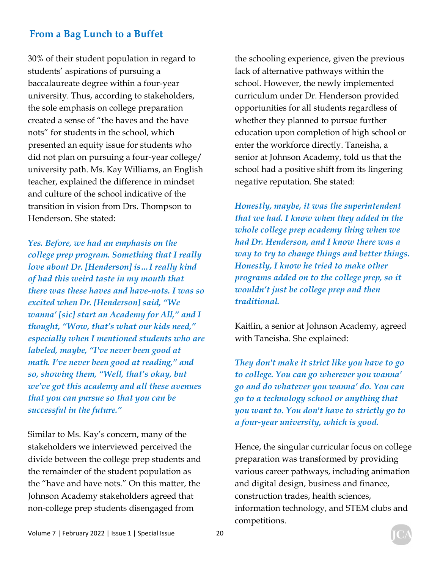30% of their student population in regard to students' aspirations of pursuing a baccalaureate degree within a four-year university. Thus, according to stakeholders, the sole emphasis on college preparation created a sense of "the haves and the have nots" for students in the school, which presented an equity issue for students who did not plan on pursuing a four-year college/ university path. Ms. Kay Williams, an English teacher, explained the difference in mindset and culture of the school indicative of the transition in vision from Drs. Thompson to Henderson. She stated:

*Yes. Before, we had an emphasis on the college prep program. Something that I really love about Dr. [Henderson] is…I really kind of had this weird taste in my mouth that there was these haves and have-nots. I was so excited when Dr. [Henderson] said, "We wanna' [sic] start an Academy for All," and I thought, "Wow, that's what our kids need," especially when I mentioned students who are labeled, maybe, "I've never been good at math. I've never been good at reading," and so, showing them, "Well, that's okay, but we've got this academy and all these avenues that you can pursue so that you can be successful in the future."* 

Similar to Ms. Kay's concern, many of the stakeholders we interviewed perceived the divide between the college prep students and the remainder of the student population as the "have and have nots." On this matter, the Johnson Academy stakeholders agreed that non-college prep students disengaged from

the schooling experience, given the previous lack of alternative pathways within the school. However, the newly implemented curriculum under Dr. Henderson provided opportunities for all students regardless of whether they planned to pursue further education upon completion of high school or enter the workforce directly. Taneisha, a senior at Johnson Academy, told us that the school had a positive shift from its lingering negative reputation. She stated:

*Honestly, maybe, it was the superintendent that we had. I know when they added in the whole college prep academy thing when we had Dr. Henderson, and I know there was a way to try to change things and better things. Honestly, I know he tried to make other programs added on to the college prep, so it wouldn't just be college prep and then traditional.* 

Kaitlin, a senior at Johnson Academy, agreed with Taneisha. She explained:

*They don't make it strict like you have to go to college. You can go wherever you wanna' go and do whatever you wanna' do. You can go to a technology school or anything that you want to. You don't have to strictly go to a four-year university, which is good.* 

Hence, the singular curricular focus on college preparation was transformed by providing various career pathways, including animation and digital design, business and finance, construction trades, health sciences, information technology, and STEM clubs and competitions.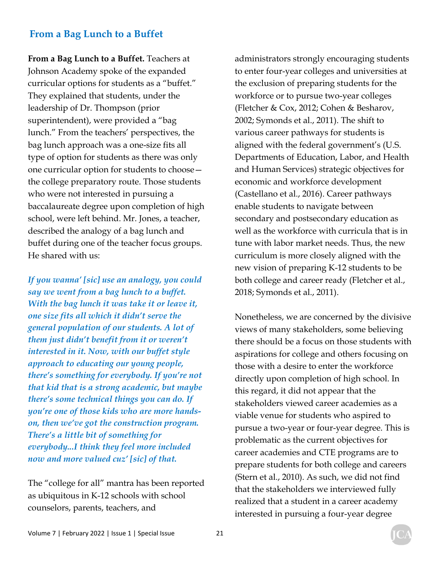**From a Bag Lunch to a Buffet.** Teachers at Johnson Academy spoke of the expanded curricular options for students as a "buffet." They explained that students, under the leadership of Dr. Thompson (prior superintendent), were provided a "bag lunch." From the teachers' perspectives, the bag lunch approach was a one-size fits all type of option for students as there was only one curricular option for students to choose the college preparatory route. Those students who were not interested in pursuing a baccalaureate degree upon completion of high school, were left behind. Mr. Jones, a teacher, described the analogy of a bag lunch and buffet during one of the teacher focus groups. He shared with us:

*If you wanna' [sic] use an analogy, you could say we went from a bag lunch to a buffet. With the bag lunch it was take it or leave it, one size fits all which it didn't serve the general population of our students. A lot of them just didn't benefit from it or weren't interested in it. Now, with our buffet style approach to educating our young people, there's something for everybody. If you're not that kid that is a strong academic, but maybe there's some technical things you can do. If you're one of those kids who are more handson, then we've got the construction program. There's a little bit of something for everybody...I think they feel more included now and more valued cuz' [sic] of that.* 

The "college for all" mantra has been reported as ubiquitous in K-12 schools with school counselors, parents, teachers, and

administrators strongly encouraging students to enter four-year colleges and universities at the exclusion of preparing students for the workforce or to pursue two-year colleges (Fletcher & Cox, 2012; Cohen & Besharov, 2002; Symonds et al., 2011). The shift to various career pathways for students is aligned with the federal government's (U.S. Departments of Education, Labor, and Health and Human Services) strategic objectives for economic and workforce development (Castellano et al., 2016). Career pathways enable students to navigate between secondary and postsecondary education as well as the workforce with curricula that is in tune with labor market needs. Thus, the new curriculum is more closely aligned with the new vision of preparing K-12 students to be both college and career ready (Fletcher et al., 2018; Symonds et al., 2011).

Nonetheless, we are concerned by the divisive views of many stakeholders, some believing there should be a focus on those students with aspirations for college and others focusing on those with a desire to enter the workforce directly upon completion of high school. In this regard, it did not appear that the stakeholders viewed career academies as a viable venue for students who aspired to pursue a two-year or four-year degree. This is problematic as the current objectives for career academies and CTE programs are to prepare students for both college and careers (Stern et al., 2010). As such, we did not find that the stakeholders we interviewed fully realized that a student in a career academy interested in pursuing a four-year degree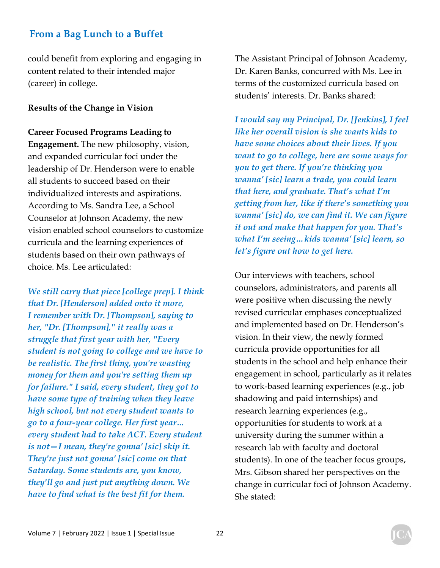could benefit from exploring and engaging in content related to their intended major (career) in college.

#### **Results of the Change in Vision**

**Career Focused Programs Leading to Engagement.** The new philosophy, vision, and expanded curricular foci under the leadership of Dr. Henderson were to enable all students to succeed based on their individualized interests and aspirations. According to Ms. Sandra Lee, a School Counselor at Johnson Academy, the new vision enabled school counselors to customize curricula and the learning experiences of students based on their own pathways of choice. Ms. Lee articulated:

*We still carry that piece [college prep]. I think that Dr. [Henderson] added onto it more, I remember with Dr. [Thompson], saying to her, "Dr. [Thompson]," it really was a struggle that first year with her, "Every student is not going to college and we have to be realistic. The first thing, you're wasting money for them and you're setting them up for failure." I said, every student, they got to have some type of training when they leave high school, but not every student wants to go to a four-year college. Her first year… every student had to take ACT. Every student is not—I mean, they're gonna' [sic] skip it. They're just not gonna' [sic] come on that Saturday. Some students are, you know, they'll go and just put anything down. We have to find what is the best fit for them.* 

The Assistant Principal of Johnson Academy, Dr. Karen Banks, concurred with Ms. Lee in terms of the customized curricula based on students' interests. Dr. Banks shared:

*I would say my Principal, Dr. [Jenkins], I feel like her overall vision is she wants kids to have some choices about their lives. If you want to go to college, here are some ways for you to get there. If you're thinking you wanna' [sic] learn a trade, you could learn that here, and graduate. That's what I'm getting from her, like if there's something you wanna' [sic] do, we can find it. We can figure it out and make that happen for you. That's what I'm seeing…kids wanna' [sic] learn, so let's figure out how to get here.* 

Our interviews with teachers, school counselors, administrators, and parents all were positive when discussing the newly revised curricular emphases conceptualized and implemented based on Dr. Henderson's vision. In their view, the newly formed curricula provide opportunities for all students in the school and help enhance their engagement in school, particularly as it relates to work-based learning experiences (e.g., job shadowing and paid internships) and research learning experiences (e.g., opportunities for students to work at a university during the summer within a research lab with faculty and doctoral students). In one of the teacher focus groups, Mrs. Gibson shared her perspectives on the change in curricular foci of Johnson Academy. She stated: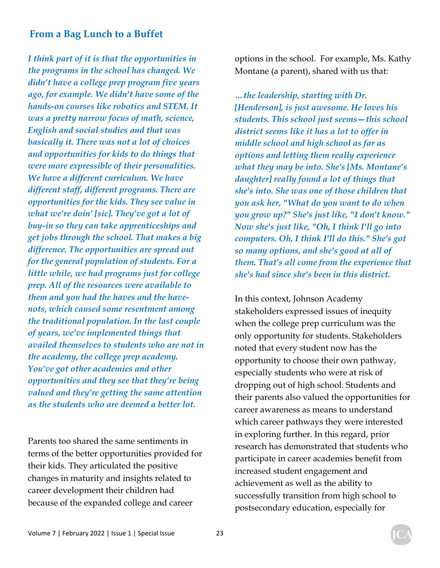*I think part of it is that the opportunities in the programs in the school has changed. We didn't have a college prep program five years ago, for example. We didn't have some of the hands-on courses like robotics and STEM. It was a pretty narrow focus of math, science, English and social studies and that was basically it. There was not a lot of choices and opportunities for kids to do things that were more expressible of their personalities. We have a different curriculum. We have different staff, different programs. There are opportunities for the kids. They see value in what we're doin' [sic]. They've got a lot of buy-in so they can take apprenticeships and get jobs through the school. That makes a big difference. The opportunities are spread out for the general population of students. For a little while, we had programs just for college prep. All of the resources were available to them and you had the haves and the havenots, which caused some resentment among the traditional population. In the last couple of years, we've implemented things that availed themselves to students who are not in the academy, the college prep academy. You've got other academies and other opportunities and they see that they're being valued and they're getting the same attention as the students who are deemed a better lot.* 

Parents too shared the same sentiments in terms of the better opportunities provided for their kids. They articulated the positive changes in maturity and insights related to career development their children had because of the expanded college and career

options in the school. For example, Ms. Kathy Montane (a parent), shared with us that:

*…the leadership, starting with Dr. [Henderson], is just awesome. He loves his students. This school just seems—this school district seems like it has a lot to offer in middle school and high school as far as options and letting them really experience what they may be into. She's [Ms. Montane's daughter] really found a lot of things that she's into. She was one of those children that you ask her, "What do you want to do when you grow up?" She's just like, "I don't know." Now she's just like, "Oh, I think I'll go into computers. Oh, I think I'll do this." She's got so many options, and she's good at all of them. That's all come from the experience that she's had since she's been in this district.* 

In this context, Johnson Academy stakeholders expressed issues of inequity when the college prep curriculum was the only opportunity for students. Stakeholders noted that every student now has the opportunity to choose their own pathway, especially students who were at risk of dropping out of high school. Students and their parents also valued the opportunities for career awareness as means to understand which career pathways they were interested in exploring further. In this regard, prior research has demonstrated that students who participate in career academies benefit from increased student engagement and achievement as well as the ability to successfully transition from high school to postsecondary education, especially for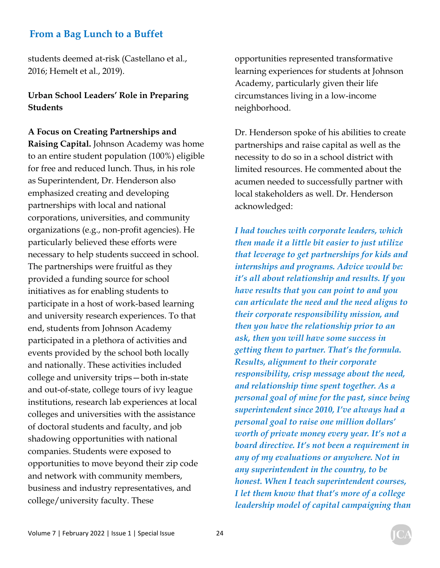students deemed at-risk (Castellano et al., 2016; Hemelt et al., 2019).

#### **Urban School Leaders' Role in Preparing Students**

#### **A Focus on Creating Partnerships and**

**Raising Capital.** Johnson Academy was home to an entire student population (100%) eligible for free and reduced lunch. Thus, in his role as Superintendent, Dr. Henderson also emphasized creating and developing partnerships with local and national corporations, universities, and community organizations (e.g., non-profit agencies). He particularly believed these efforts were necessary to help students succeed in school. The partnerships were fruitful as they provided a funding source for school initiatives as for enabling students to participate in a host of work-based learning and university research experiences. To that end, students from Johnson Academy participated in a plethora of activities and events provided by the school both locally and nationally. These activities included college and university trips—both in-state and out-of-state, college tours of ivy league institutions, research lab experiences at local colleges and universities with the assistance of doctoral students and faculty, and job shadowing opportunities with national companies. Students were exposed to opportunities to move beyond their zip code and network with community members, business and industry representatives, and college/university faculty. These

opportunities represented transformative learning experiences for students at Johnson Academy, particularly given their life circumstances living in a low-income neighborhood.

Dr. Henderson spoke of his abilities to create partnerships and raise capital as well as the necessity to do so in a school district with limited resources. He commented about the acumen needed to successfully partner with local stakeholders as well. Dr. Henderson acknowledged:

*I had touches with corporate leaders, which then made it a little bit easier to just utilize that leverage to get partnerships for kids and internships and programs. Advice would be: it's all about relationship and results. If you have results that you can point to and you can articulate the need and the need aligns to their corporate responsibility mission, and then you have the relationship prior to an ask, then you will have some success in getting them to partner. That's the formula. Results, alignment to their corporate responsibility, crisp message about the need, and relationship time spent together. As a personal goal of mine for the past, since being superintendent since 2010, I've always had a personal goal to raise one million dollars' worth of private money every year. It's not a board directive. It's not been a requirement in any of my evaluations or anywhere. Not in any superintendent in the country, to be honest. When I teach superintendent courses, I let them know that that's more of a college leadership model of capital campaigning than*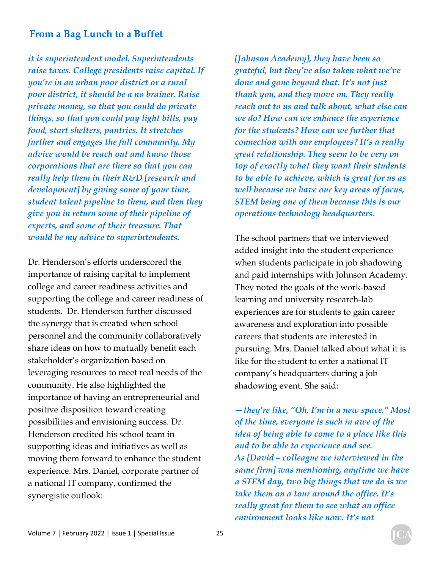*it is superintendent model. Superintendents raise taxes. College presidents raise capital. If you're in an urban poor district or a rural poor district, it should be a no brainer. Raise private money, so that you could do private things, so that you could pay light bills, pay food, start shelters, pantries. It stretches further and engages the full community. My advice would be reach out and know those corporations that are there so that you can really help them in their R&D [research and development] by giving some of your time, student talent pipeline to them, and then they give you in return some of their pipeline of experts, and some of their treasure. That would be my advice to superintendents.*

Dr. Henderson's efforts underscored the importance of raising capital to implement college and career readiness activities and supporting the college and career readiness of students. Dr. Henderson further discussed the synergy that is created when school personnel and the community collaboratively share ideas on how to mutually benefit each stakeholder's organization based on leveraging resources to meet real needs of the community. He also highlighted the importance of having an entrepreneurial and positive disposition toward creating possibilities and envisioning success. Dr. Henderson credited his school team in supporting ideas and initiatives as well as moving them forward to enhance the student experience. Mrs. Daniel, corporate partner of a national IT company, confirmed the synergistic outlook:

*[Johnson Academy], they have been so grateful, but they've also taken what we've done and gone beyond that. It's not just thank you, and they move on. They really reach out to us and talk about, what else can we do? How can we enhance the experience for the students? How can we further that connection with our employees? It's a really great relationship. They seem to be very on top of exactly what they want their students to be able to achieve, which is great for us as well because we have our key areas of focus, STEM being one of them because this is our operations technology headquarters.* 

The school partners that we interviewed added insight into the student experience when students participate in job shadowing and paid internships with Johnson Academy. They noted the goals of the work-based learning and university research-lab experiences are for students to gain career awareness and exploration into possible careers that students are interested in pursuing. Mrs. Daniel talked about what it is like for the student to enter a national IT company's headquarters during a job shadowing event. She said:

*—they're like, "Oh, I'm in a new space." Most of the time, everyone is such in awe of the idea of being able to come to a place like this and to be able to experience and see. As [David – colleague we interviewed in the same firm] was mentioning, anytime we have a STEM day, two big things that we do is we take them on a tour around the office. It's really great for them to see what an office environment looks like now. It's not*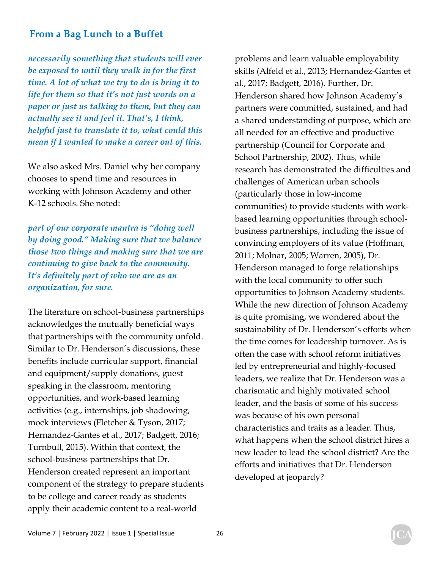*necessarily something that students will ever be exposed to until they walk in for the first time. A lot of what we try to do is bring it to life for them so that it's not just words on a paper or just us talking to them, but they can actually see it and feel it. That's, I think, helpful just to translate it to, what could this mean if I wanted to make a career out of this.* 

We also asked Mrs. Daniel why her company chooses to spend time and resources in working with Johnson Academy and other K-12 schools. She noted:

*part of our corporate mantra is "doing well by doing good." Making sure that we balance those two things and making sure that we are continuing to give back to the community. It's definitely part of who we are as an organization, for sure.* 

The literature on school-business partnerships acknowledges the mutually beneficial ways that partnerships with the community unfold. Similar to Dr. Henderson's discussions, these benefits include curricular support, financial and equipment/supply donations, guest speaking in the classroom, mentoring opportunities, and work-based learning activities (e.g., internships, job shadowing, mock interviews (Fletcher & Tyson, 2017; Hernandez-Gantes et al., 2017; Badgett, 2016; Turnbull, 2015). Within that context, the school-business partnerships that Dr. Henderson created represent an important component of the strategy to prepare students to be college and career ready as students apply their academic content to a real-world

problems and learn valuable employability skills (Alfeld et al., 2013; Hernandez-Gantes et al., 2017; Badgett, 2016). Further, Dr. Henderson shared how Johnson Academy's partners were committed, sustained, and had a shared understanding of purpose, which are all needed for an effective and productive partnership (Council for Corporate and School Partnership, 2002). Thus, while research has demonstrated the difficulties and challenges of American urban schools (particularly those in low-income communities) to provide students with workbased learning opportunities through schoolbusiness partnerships, including the issue of convincing employers of its value (Hoffman, 2011; Molnar, 2005; Warren, 2005), Dr. Henderson managed to forge relationships with the local community to offer such opportunities to Johnson Academy students. While the new direction of Johnson Academy is quite promising, we wondered about the sustainability of Dr. Henderson's efforts when the time comes for leadership turnover. As is often the case with school reform initiatives led by entrepreneurial and highly-focused leaders, we realize that Dr. Henderson was a charismatic and highly motivated school leader, and the basis of some of his success was because of his own personal characteristics and traits as a leader. Thus, what happens when the school district hires a new leader to lead the school district? Are the efforts and initiatives that Dr. Henderson developed at jeopardy?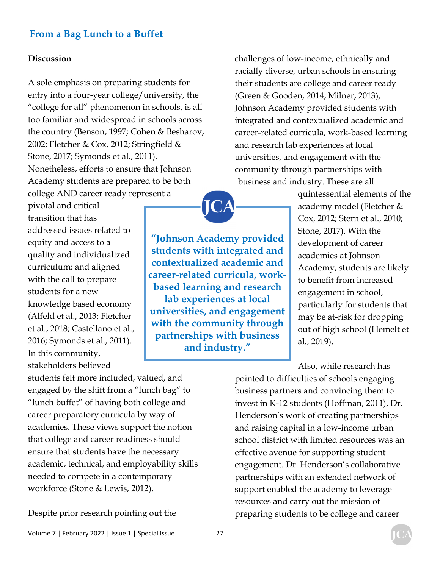#### **Discussion**

A sole emphasis on preparing students for entry into a four-year college/university, the "college for all" phenomenon in schools, is all too familiar and widespread in schools across the country (Benson, 1997; Cohen & Besharov, 2002; Fletcher & Cox, 2012; Stringfield & Stone, 2017; Symonds et al., 2011). Nonetheless, efforts to ensure that Johnson Academy students are prepared to be both college AND career ready represent a

pivotal and critical transition that has addressed issues related to equity and access to a quality and individualized curriculum; and aligned with the call to prepare students for a new knowledge based economy (Alfeld et al., 2013; Fletcher et al., 2018; Castellano et al., 2016; Symonds et al., 2011). In this community, stakeholders believed

**"Johnson Academy provided students with integrated and contextualized academic and career-related curricula, workbased learning and research lab experiences at local universities, and engagement with the community through partnerships with business and industry."** 

challenges of low-income, ethnically and racially diverse, urban schools in ensuring their students are college and career ready (Green & Gooden, 2014; Milner, 2013), Johnson Academy provided students with integrated and contextualized academic and career-related curricula, work-based learning and research lab experiences at local universities, and engagement with the community through partnerships with business and industry. These are all

> quintessential elements of the academy model (Fletcher & Cox, 2012; Stern et al., 2010; Stone, 2017). With the development of career academies at Johnson Academy, students are likely to benefit from increased engagement in school, particularly for students that may be at-risk for dropping out of high school (Hemelt et al., 2019).

Also, while research has pointed to difficulties of schools engaging business partners and convincing them to invest in K-12 students (Hoffman, 2011), Dr. Henderson's work of creating partnerships and raising capital in a low-income urban school district with limited resources was an effective avenue for supporting student engagement. Dr. Henderson's collaborative partnerships with an extended network of support enabled the academy to leverage resources and carry out the mission of preparing students to be college and career

students felt more included, valued, and engaged by the shift from a "lunch bag" to "lunch buffet" of having both college and career preparatory curricula by way of academies. These views support the notion that college and career readiness should ensure that students have the necessary academic, technical, and employability skills needed to compete in a contemporary workforce (Stone & Lewis, 2012).

Despite prior research pointing out the

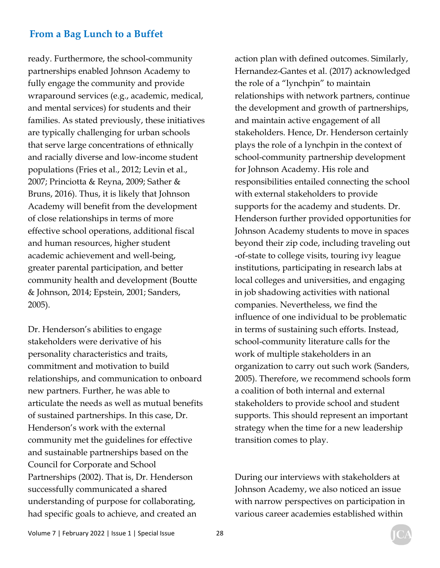ready. Furthermore, the school-community partnerships enabled Johnson Academy to fully engage the community and provide wraparound services (e.g., academic, medical, and mental services) for students and their families. As stated previously, these initiatives are typically challenging for urban schools that serve large concentrations of ethnically and racially diverse and low-income student populations (Fries et al., 2012; Levin et al., 2007; Princiotta & Reyna, 2009; Sather & Bruns, 2016). Thus, it is likely that Johnson Academy will benefit from the development of close relationships in terms of more effective school operations, additional fiscal and human resources, higher student academic achievement and well-being, greater parental participation, and better community health and development (Boutte & Johnson, 2014; Epstein, 2001; Sanders, 2005).

Dr. Henderson's abilities to engage stakeholders were derivative of his personality characteristics and traits, commitment and motivation to build relationships, and communication to onboard new partners. Further, he was able to articulate the needs as well as mutual benefits of sustained partnerships. In this case, Dr. Henderson's work with the external community met the guidelines for effective and sustainable partnerships based on the Council for Corporate and School Partnerships (2002). That is, Dr. Henderson successfully communicated a shared understanding of purpose for collaborating, had specific goals to achieve, and created an

action plan with defined outcomes. Similarly, Hernandez-Gantes et al. (2017) acknowledged the role of a "lynchpin" to maintain relationships with network partners, continue the development and growth of partnerships, and maintain active engagement of all stakeholders. Hence, Dr. Henderson certainly plays the role of a lynchpin in the context of school-community partnership development for Johnson Academy. His role and responsibilities entailed connecting the school with external stakeholders to provide supports for the academy and students. Dr. Henderson further provided opportunities for Johnson Academy students to move in spaces beyond their zip code, including traveling out -of-state to college visits, touring ivy league institutions, participating in research labs at local colleges and universities, and engaging in job shadowing activities with national companies. Nevertheless, we find the influence of one individual to be problematic in terms of sustaining such efforts. Instead, school-community literature calls for the work of multiple stakeholders in an organization to carry out such work (Sanders, 2005). Therefore, we recommend schools form a coalition of both internal and external stakeholders to provide school and student supports. This should represent an important strategy when the time for a new leadership transition comes to play.

During our interviews with stakeholders at Johnson Academy, we also noticed an issue with narrow perspectives on participation in various career academies established within

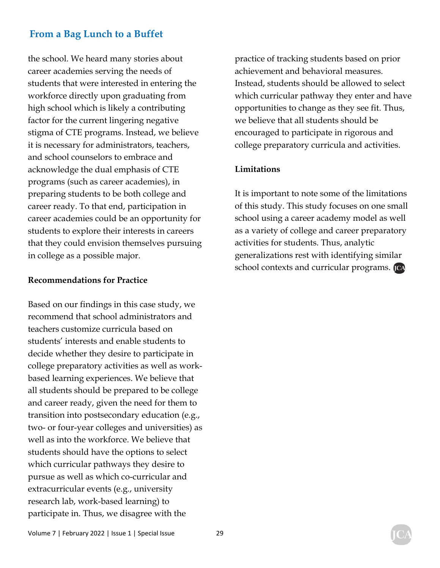the school. We heard many stories about career academies serving the needs of students that were interested in entering the workforce directly upon graduating from high school which is likely a contributing factor for the current lingering negative stigma of CTE programs. Instead, we believe it is necessary for administrators, teachers, and school counselors to embrace and acknowledge the dual emphasis of CTE programs (such as career academies), in preparing students to be both college and career ready. To that end, participation in career academies could be an opportunity for students to explore their interests in careers that they could envision themselves pursuing in college as a possible major.

#### **Recommendations for Practice**

Based on our findings in this case study, we recommend that school administrators and teachers customize curricula based on students' interests and enable students to decide whether they desire to participate in college preparatory activities as well as workbased learning experiences. We believe that all students should be prepared to be college and career ready, given the need for them to transition into postsecondary education (e.g., two- or four-year colleges and universities) as well as into the workforce. We believe that students should have the options to select which curricular pathways they desire to pursue as well as which co-curricular and extracurricular events (e.g., university research lab, work-based learning) to participate in. Thus, we disagree with the

practice of tracking students based on prior achievement and behavioral measures. Instead, students should be allowed to select which curricular pathway they enter and have opportunities to change as they see fit. Thus, we believe that all students should be encouraged to participate in rigorous and college preparatory curricula and activities.

#### **Limitations**

It is important to note some of the limitations of this study. This study focuses on one small school using a career academy model as well as a variety of college and career preparatory activities for students. Thus, analytic generalizations rest with identifying similar school contexts and curricular programs. [CA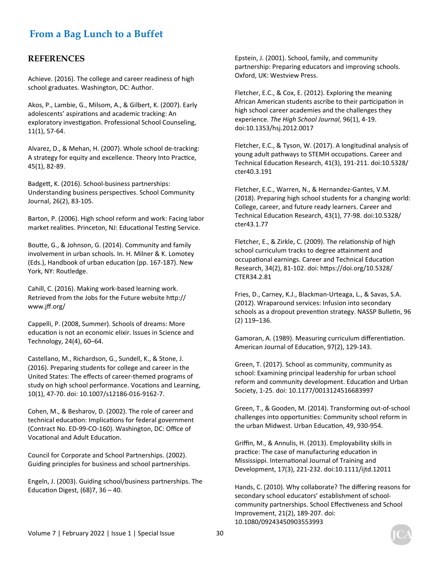#### **REFERENCES**

Achieve. (2016). The college and career readiness of high school graduates. Washington, DC: Author.

Akos, P., Lambie, G., Milsom, A., & Gilbert, K. (2007). Early adolescents' aspirations and academic tracking: An exploratory investigation. Professional School Counseling, 11(1), 57-64.

Alvarez, D., & Mehan, H. (2007). Whole school de-tracking: A strategy for equity and excellence. Theory Into Practice, 45(1), 82-89.

Badgett, K. (2016). School-business partnerships: Understanding business perspectives. School Community Journal, 26(2), 83-105.

Barton, P. (2006). High school reform and work: Facing labor market realities. Princeton, NJ: Educational Testing Service.

Boutte, G., & Johnson, G. (2014). Community and family involvement in urban schools. In. H. Milner & K. Lomotey (Eds.), Handbook of urban education (pp. 167-187). New York, NY: Routledge.

Cahill, C. (2016). Making work-based learning work. Retrieved from the Jobs for the Future website http:// www.jff.org/

Cappelli, P. (2008, Summer). Schools of dreams: More education is not an economic elixir. Issues in Science and Technology, 24(4), 60–64.

Castellano, M., Richardson, G., Sundell, K., & Stone, J. (2016). Preparing students for college and career in the United States: The effects of career-themed programs of study on high school performance. Vocations and Learning, 10(1), 47-70. doi: 10.1007/s12186-016-9162-7.

Cohen, M., & Besharov, D. (2002). The role of career and technical education: Implications for federal government (Contract No. ED-99-CO-160). Washington, DC: Office of Vocational and Adult Education.

Council for Corporate and School Partnerships. (2002). Guiding principles for business and school partnerships.

Engeln, J. (2003). Guiding school/business partnerships. The Education Digest,  $(68)$ 7, 36 – 40.

Epstein, J. (2001). School, family, and community partnership: Preparing educators and improving schools. Oxford, UK: Westview Press.

Fletcher, E.C., & Cox, E. (2012). Exploring the meaning African American students ascribe to their participation in high school career academies and the challenges they experience. *The High School Journal*, 96(1), 4-19. doi:10.1353/hsj.2012.0017

Fletcher, E.C., & Tyson, W. (2017). A longitudinal analysis of young adult pathways to STEMH occupations. Career and Technical Education Research, 41(3), 191-211. doi:10.5328/ cter40.3.191

Fletcher, E.C., Warren, N., & Hernandez-Gantes, V.M. (2018). Preparing high school students for a changing world: College, career, and future ready learners. Career and Technical Education Research, 43(1), 77-98. doi:10.5328/ cter43.1.77

Fletcher, E., & Zirkle, C. (2009). The relationship of high school curriculum tracks to degree attainment and occupational earnings. Career and Technical Education Research, 34(2), 81-102. doi: hƩps://doi.org/10.5328/ CTER34.2.81

Fries, D., Carney, K.J., Blackman-Urteaga, L., & Savas, S.A. (2012). Wraparound services: Infusion into secondary schools as a dropout prevention strategy. NASSP Bulletin, 96 (2) 119–136.

Gamoran, A. (1989). Measuring curriculum differentiation. American Journal of Education, 97(2), 129-143.

Green, T. (2017). School as community, community as school: Examining principal leadership for urban school reform and community development. Education and Urban Society, 1-25. doi: 10.1177/0013124516683997

Green, T., & Gooden, M. (2014). Transforming out-of-school challenges into opportunities: Community school reform in the urban Midwest. Urban Education, 49, 930-954.

Griffin, M., & Annulis, H. (2013). Employability skills in practice: The case of manufacturing education in Mississippi. International Journal of Training and Development, 17(3), 221-232. doi:10.1111/ijtd.12011

Hands, C. (2010). Why collaborate? The differing reasons for secondary school educators' establishment of schoolcommunity partnerships. School Effectiveness and School Improvement, 21(2), 189-207. doi: 10.1080/09243450903553993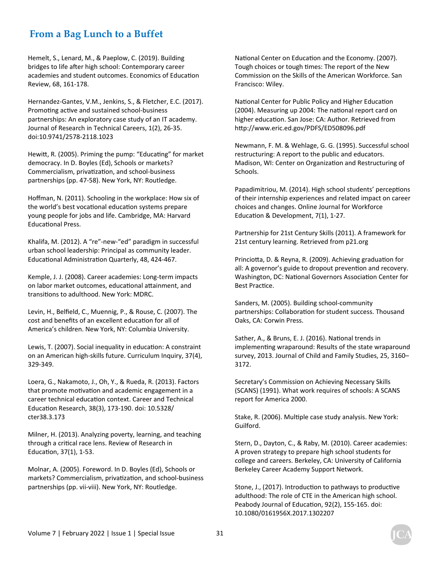Hemelt, S., Lenard, M., & Paeplow, C. (2019). Building bridges to life after high school: Contemporary career academies and student outcomes. Economics of Education Review, 68, 161-178.

Hernandez-Gantes, V.M., Jenkins, S., & Fletcher, E.C. (2017). Promoting active and sustained school-business partnerships: An exploratory case study of an IT academy. Journal of Research in Technical Careers, 1(2), 26-35. doi:10.9741/2578-2118.1023

Hewitt, R. (2005). Priming the pump: "Educating" for market democracy. In D. Boyles (Ed), Schools or markets? Commercialism, privatization, and school-business partnerships (pp. 47-58). New York, NY: Routledge.

Hoffman, N. (2011). Schooling in the workplace: How six of the world's best vocational education systems prepare young people for jobs and life. Cambridge, MA: Harvard Educational Press.

Khalifa, M. (2012). A "re"-new-"ed" paradigm in successful urban school leadership: Principal as community leader. Educational Administration Quarterly, 48, 424-467.

Kemple, J. J. (2008). Career academies: Long-term impacts on labor market outcomes, educational attainment, and transitions to adulthood. New York: MDRC.

Levin, H., Belfield, C., Muennig, P., & Rouse, C. (2007). The cost and benefits of an excellent education for all of America's children. New York, NY: Columbia University.

Lewis, T. (2007). Social inequality in education: A constraint on an American high-skills future. Curriculum Inquiry, 37(4), 329-349.

Loera, G., Nakamoto, J., Oh, Y., & Rueda, R. (2013). Factors that promote motivation and academic engagement in a career technical education context. Career and Technical EducaƟon Research, 38(3), 173-190. doi: 10.5328/ cter38.3.173

Milner, H. (2013). Analyzing poverty, learning, and teaching through a critical race lens. Review of Research in EducaƟon, 37(1), 1-53.

Molnar, A. (2005). Foreword. In D. Boyles (Ed), Schools or markets? Commercialism, privatization, and school-business partnerships (pp. vii-viii). New York, NY: Routledge.

National Center on Education and the Economy. (2007). Tough choices or tough times: The report of the New Commission on the Skills of the American Workforce. San Francisco: Wiley.

National Center for Public Policy and Higher Education (2004). Measuring up 2004: The national report card on higher education. San Jose: CA: Author. Retrieved from http://www.eric.ed.gov/PDFS/ED508096.pdf

Newmann, F. M. & Wehlage, G. G. (1995). Successful school restructuring: A report to the public and educators. Madison, WI: Center on Organization and Restructuring of Schools.

Papadimitriou, M. (2014). High school students' perceptions of their internship experiences and related impact on career choices and changes. Online Journal for Workforce Education & Development, 7(1), 1-27.

Partnership for 21st Century Skills (2011). A framework for 21st century learning. Retrieved from p21.org

Princiotta, D. & Reyna, R. (2009). Achieving graduation for all: A governor's guide to dropout prevention and recovery. Washington, DC: National Governors Association Center for Best Practice.

Sanders, M. (2005). Building school-community partnerships: Collaboration for student success. Thousand Oaks, CA: Corwin Press.

Sather, A., & Bruns, E. J. (2016). National trends in implementing wraparound: Results of the state wraparound survey, 2013. Journal of Child and Family Studies, 25, 3160– 3172.

Secretary's Commission on Achieving Necessary Skills (SCANS) (1991). What work requires of schools: A SCANS report for America 2000.

Stake, R. (2006). Multiple case study analysis. New York: Guilford.

Stern, D., Dayton, C., & Raby, M. (2010). Career academies: A proven strategy to prepare high school students for college and careers. Berkeley, CA: University of California Berkeley Career Academy Support Network.

Stone, J., (2017). Introduction to pathways to productive adulthood: The role of CTE in the American high school. Peabody Journal of Education, 92(2), 155-165. doi: 10.1080/0161956X.2017.1302207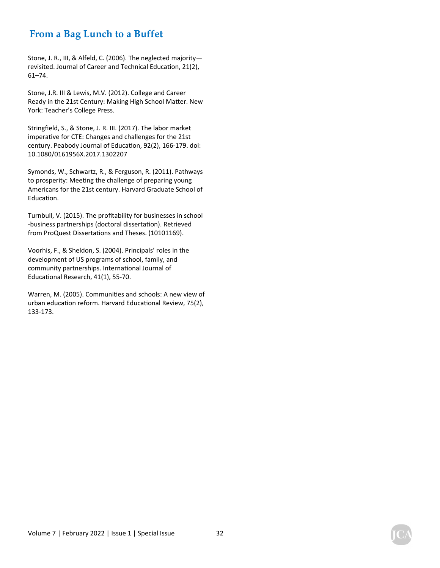Stone, J. R., III, & Alfeld, C. (2006). The neglected majority revisited. Journal of Career and Technical Education, 21(2), 61–74.

Stone, J.R. III & Lewis, M.V. (2012). College and Career Ready in the 21st Century: Making High School Matter. New York: Teacher's College Press.

Stringfield, S., & Stone, J. R. III. (2017). The labor market imperative for CTE: Changes and challenges for the 21st century. Peabody Journal of Education, 92(2), 166-179. doi: 10.1080/0161956X.2017.1302207

Symonds, W., Schwartz, R., & Ferguson, R. (2011). Pathways to prosperity: Meeting the challenge of preparing young Americans for the 21st century. Harvard Graduate School of Education.

Turnbull, V. (2015). The profitability for businesses in school -business partnerships (doctoral dissertation). Retrieved from ProQuest Dissertations and Theses. (10101169).

Voorhis, F., & Sheldon, S. (2004). Principals' roles in the development of US programs of school, family, and community partnerships. International Journal of Educational Research, 41(1), 55-70.

Warren, M. (2005). Communities and schools: A new view of urban education reform. Harvard Educational Review, 75(2), 133-173.